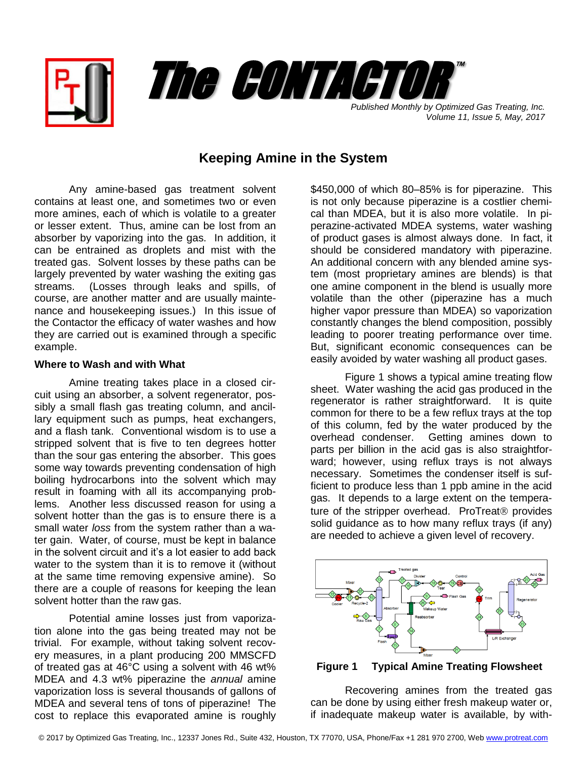



*Volume 11, Issue 5, May, 2017*

## **Keeping Amine in the System**

Any amine-based gas treatment solvent contains at least one, and sometimes two or even more amines, each of which is volatile to a greater or lesser extent. Thus, amine can be lost from an absorber by vaporizing into the gas. In addition, it can be entrained as droplets and mist with the treated gas. Solvent losses by these paths can be largely prevented by water washing the exiting gas streams. (Losses through leaks and spills, of course, are another matter and are usually maintenance and housekeeping issues.) In this issue of the Contactor the efficacy of water washes and how they are carried out is examined through a specific example.

## **Where to Wash and with What**

Amine treating takes place in a closed circuit using an absorber, a solvent regenerator, possibly a small flash gas treating column, and ancillary equipment such as pumps, heat exchangers, and a flash tank. Conventional wisdom is to use a stripped solvent that is five to ten degrees hotter than the sour gas entering the absorber. This goes some way towards preventing condensation of high boiling hydrocarbons into the solvent which may result in foaming with all its accompanying problems. Another less discussed reason for using a solvent hotter than the gas is to ensure there is a small water *loss* from the system rather than a water gain. Water, of course, must be kept in balance in the solvent circuit and it's a lot easier to add back water to the system than it is to remove it (without at the same time removing expensive amine). So there are a couple of reasons for keeping the lean solvent hotter than the raw gas.

Potential amine losses just from vaporization alone into the gas being treated may not be trivial. For example, without taking solvent recovery measures, in a plant producing 200 MMSCFD of treated gas at 46°C using a solvent with 46 wt% MDEA and 4.3 wt% piperazine the *annual* amine vaporization loss is several thousands of gallons of MDEA and several tens of tons of piperazine! The cost to replace this evaporated amine is roughly

\$450,000 of which 80–85% is for piperazine. This is not only because piperazine is a costlier chemical than MDEA, but it is also more volatile. In piperazine-activated MDEA systems, water washing of product gases is almost always done. In fact, it should be considered mandatory with piperazine. An additional concern with any blended amine system (most proprietary amines are blends) is that one amine component in the blend is usually more volatile than the other (piperazine has a much higher vapor pressure than MDEA) so vaporization constantly changes the blend composition, possibly leading to poorer treating performance over time. But, significant economic consequences can be easily avoided by water washing all product gases.

Figure 1 shows a typical amine treating flow sheet. Water washing the acid gas produced in the regenerator is rather straightforward. It is quite common for there to be a few reflux trays at the top of this column, fed by the water produced by the overhead condenser. Getting amines down to parts per billion in the acid gas is also straightforward; however, using reflux trays is not always necessary. Sometimes the condenser itself is sufficient to produce less than 1 ppb amine in the acid gas. It depends to a large extent on the temperature of the stripper overhead. ProTreat<sup>®</sup> provides solid guidance as to how many reflux trays (if any) are needed to achieve a given level of recovery.



 **Figure 1 Typical Amine Treating Flowsheet**

Recovering amines from the treated gas can be done by using either fresh makeup water or, if inadequate makeup water is available, by with